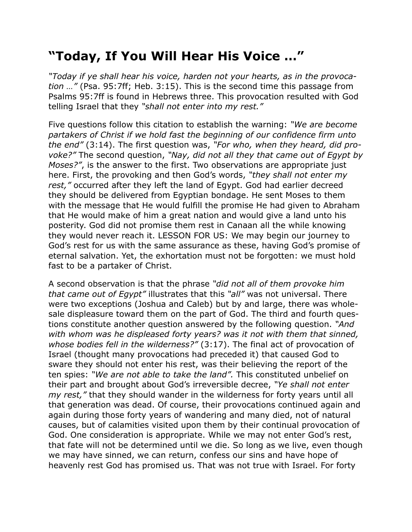## **"Today, If You Will Hear His Voice …"**

*"Today if ye shall hear his voice, harden not your hearts, as in the provocation …"* (Psa. 95:7ff; Heb. 3:15). This is the second time this passage from Psalms 95:7ff is found in Hebrews three. This provocation resulted with God telling Israel that they *"shall not enter into my rest."*

Five questions follow this citation to establish the warning: *"We are become partakers of Christ if we hold fast the beginning of our confidence firm unto the end"* (3:14). The first question was, *"For who, when they heard, did provoke?"* The second question, *"Nay, did not all they that came out of Egypt by Moses?"*, is the answer to the first. Two observations are appropriate just here. First, the provoking and then God's words, *"they shall not enter my rest,"* occurred after they left the land of Egypt. God had earlier decreed they should be delivered from Egyptian bondage. He sent Moses to them with the message that He would fulfill the promise He had given to Abraham that He would make of him a great nation and would give a land unto his posterity. God did not promise them rest in Canaan all the while knowing they would never reach it. LESSON FOR US: We may begin our journey to God's rest for us with the same assurance as these, having God's promise of eternal salvation. Yet, the exhortation must not be forgotten: we must hold fast to be a partaker of Christ.

A second observation is that the phrase *"did not all of them provoke him that came out of Egypt"* illustrates that this *"all"* was not universal. There were two exceptions (Joshua and Caleb) but by and large, there was wholesale displeasure toward them on the part of God. The third and fourth questions constitute another question answered by the following question. *"And with whom was he displeased forty years? was it not with them that sinned, whose bodies fell in the wilderness?"* (3:17). The final act of provocation of Israel (thought many provocations had preceded it) that caused God to sware they should not enter his rest, was their believing the report of the ten spies: *"We are not able to take the land".* This constituted unbelief on their part and brought about God's irreversible decree, *"Ye shall not enter my rest,"* that they should wander in the wilderness for forty years until all that generation was dead. Of course, their provocations continued again and again during those forty years of wandering and many died, not of natural causes, but of calamities visited upon them by their continual provocation of God. One consideration is appropriate. While we may not enter God's rest, that fate will not be determined until we die. So long as we live, even though we may have sinned, we can return, confess our sins and have hope of heavenly rest God has promised us. That was not true with Israel. For forty